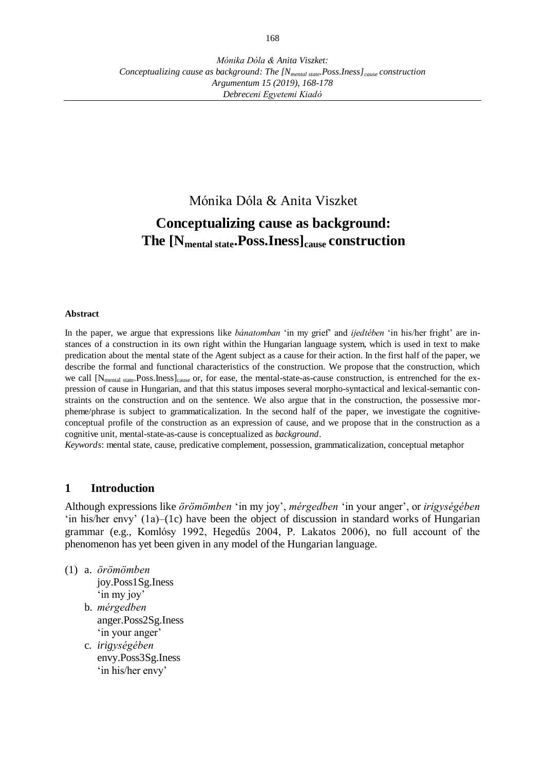# Mónika Dóla & Anita Viszket **Conceptualizing cause as background: The [Nmental state.Poss.Iness]cause construction**

#### **Abstract**

In the paper, we argue that expressions like *bánatomban* 'in my grief' and *ijedtében* 'in his/her fright' are instances of a construction in its own right within the Hungarian language system, which is used in text to make predication about the mental state of the Agent subject as a cause for their action. In the first half of the paper, we describe the formal and functional characteristics of the construction. We propose that the construction, which we call [N<sub>mental state</sub>.Poss.Iness]<sub>cause</sub> or, for ease, the mental-state-as-cause construction, is entrenched for the expression of cause in Hungarian, and that this status imposes several morpho-syntactical and lexical-semantic constraints on the construction and on the sentence. We also argue that in the construction, the possessive morpheme/phrase is subject to grammaticalization. In the second half of the paper, we investigate the cognitiveconceptual profile of the construction as an expression of cause, and we propose that in the construction as a cognitive unit, mental-state-as-cause is conceptualized as *background*.

*Keywords*: mental state, cause, predicative complement, possession, grammaticalization, conceptual metaphor

## **1 Introduction**

Although expressions like *örömömben* 'in my joy', *mérgedben* 'in your anger', or *irigységében*  'in his/her envy' (1a)–(1c) have been the object of discussion in standard works of Hungarian grammar (e.g., Komlósy 1992, Hegedűs 2004, P. Lakatos 2006), no full account of the phenomenon has yet been given in any model of the Hungarian language.

(1) a. *örömömben*

joy.Poss1Sg.Iness 'in my joy'

- b. *mérgedben* anger.Poss2Sg.Iness 'in your anger'
- c. *irigységében* envy.Poss3Sg.Iness 'in his/her envy'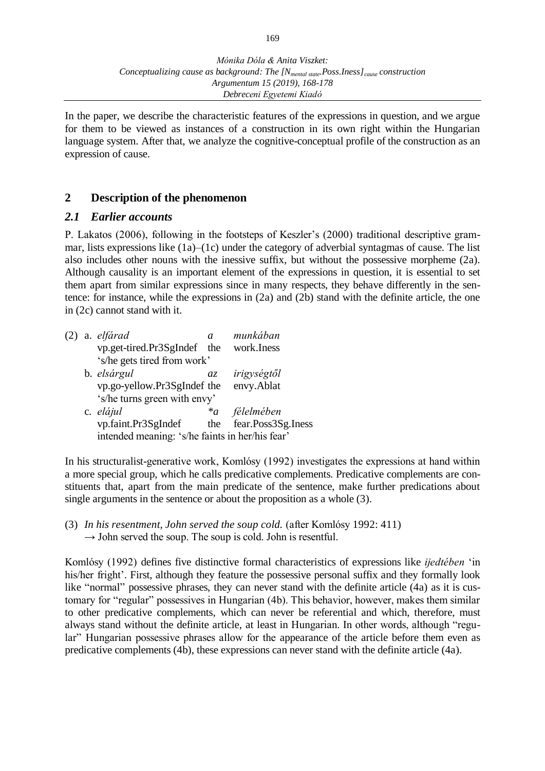In the paper, we describe the characteristic features of the expressions in question, and we argue for them to be viewed as instances of a construction in its own right within the Hungarian language system. After that, we analyze the cognitive-conceptual profile of the construction as an expression of cause.

# **2 Description of the phenomenon**

## *2.1 Earlier accounts*

P. Lakatos (2006), following in the footsteps of Keszler's (2000) traditional descriptive grammar, lists expressions like (1a)–(1c) under the category of adverbial syntagmas of cause. The list also includes other nouns with the inessive suffix, but without the possessive morpheme (2a). Although causality is an important element of the expressions in question, it is essential to set them apart from similar expressions since in many respects, they behave differently in the sentence: for instance, while the expressions in (2a) and (2b) stand with the definite article, the one in (2c) cannot stand with it.

| (2) | a. elfárad                                      | a.              | munkában           |  |  |  |  |
|-----|-------------------------------------------------|-----------------|--------------------|--|--|--|--|
|     | vp.get-tired.Pr3SgIndef the                     |                 | work.Iness         |  |  |  |  |
|     | 's/he gets tired from work'                     |                 |                    |  |  |  |  |
|     | b. elsárgul                                     | $a\overline{z}$ | irigységtől        |  |  |  |  |
|     | vp.go-yellow.Pr3SgIndef the                     |                 | envy.Ablat         |  |  |  |  |
|     | 's/he turns green with envy'                    |                 |                    |  |  |  |  |
|     | c. elájul                                       | $a^*a$          | félelmében         |  |  |  |  |
|     | vp.faint.Pr3SgIndef                             | the             | fear.Poss3Sg.Iness |  |  |  |  |
|     | intended meaning: 's/he faints in her/his fear' |                 |                    |  |  |  |  |

In his structuralist-generative work, Komlósy (1992) investigates the expressions at hand within a more special group, which he calls predicative complements. Predicative complements are constituents that, apart from the main predicate of the sentence, make further predications about single arguments in the sentence or about the proposition as a whole (3).

(3) *In his resentment, John served the soup cold.* (after Komlósy 1992: 411)  $\rightarrow$  John served the soup. The soup is cold. John is resentful.

Komlósy (1992) defines five distinctive formal characteristics of expressions like *ijedtében* 'in his/her fright'. First, although they feature the possessive personal suffix and they formally look like "normal" possessive phrases, they can never stand with the definite article (4a) as it is customary for "regular" possessives in Hungarian (4b). This behavior, however, makes them similar to other predicative complements, which can never be referential and which, therefore, must always stand without the definite article, at least in Hungarian. In other words, although "regular" Hungarian possessive phrases allow for the appearance of the article before them even as predicative complements (4b), these expressions can never stand with the definite article (4a).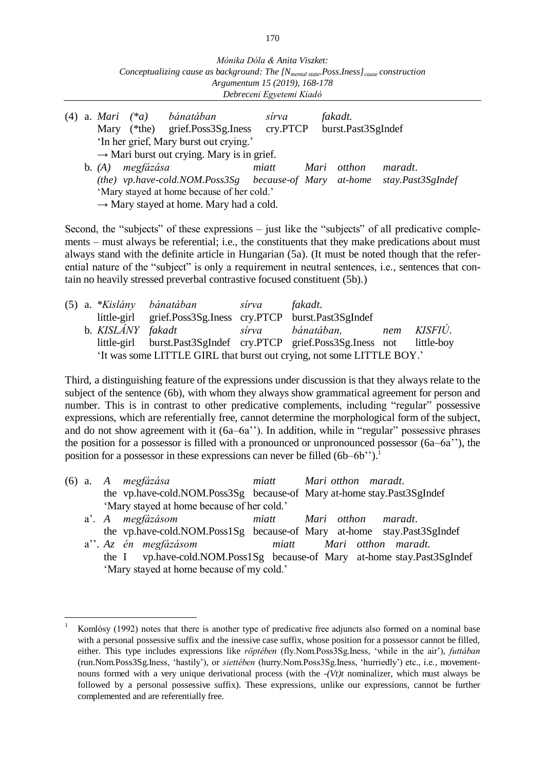|                                            |                                                        |           | $(4)$ a. Mari $(*a)$ bánatában<br>Mary (*the) grief.Poss3Sg.Iness cry.PTCP | sírva |  | fakadt.<br>burst.Past3SgIndef |                                                                          |
|--------------------------------------------|--------------------------------------------------------|-----------|----------------------------------------------------------------------------|-------|--|-------------------------------|--------------------------------------------------------------------------|
|                                            | 'In her grief, Mary burst out crying.'                 |           |                                                                            |       |  |                               |                                                                          |
|                                            | $\rightarrow$ Mari burst out crying. Mary is in grief. |           |                                                                            |       |  |                               |                                                                          |
|                                            | b. $(A)$                                               | megfázása |                                                                            | miatt |  | Mari otthon                   | <i>maradt.</i>                                                           |
|                                            |                                                        |           |                                                                            |       |  |                               | (the) vp.have-cold.NOM.Poss3Sg because-of Mary at-home stay.Past3SgIndef |
| 'Mary stayed at home because of her cold.' |                                                        |           |                                                                            |       |  |                               |                                                                          |
|                                            |                                                        |           | $\rightarrow$ Mary stayed at home. Mary had a cold.                        |       |  |                               |                                                                          |

Second, the "subjects" of these expressions – just like the "subjects" of all predicative complements – must always be referential; i.e., the constituents that they make predications about must always stand with the definite article in Hungarian (5a). (It must be noted though that the referential nature of the "subject" is only a requirement in neutral sentences, i.e., sentences that contain no heavily stressed preverbal contrastive focused constituent (5b).)

|                                                                       |                   | (5) a. *Kislány bánatában sírva                             |  | fakadt.                                                                    |     |         |  |
|-----------------------------------------------------------------------|-------------------|-------------------------------------------------------------|--|----------------------------------------------------------------------------|-----|---------|--|
|                                                                       |                   | little-girl grief.Poss3Sg.Iness cry.PTCP burst.Past3SgIndef |  |                                                                            |     |         |  |
|                                                                       | b. KISLÁNY fakadt |                                                             |  | sírva bánatában.                                                           | nem | KISFIÚ. |  |
|                                                                       |                   |                                                             |  | little-girl burst.Past3SgIndef cry.PTCP grief.Poss3Sg.Iness not little-boy |     |         |  |
| 'It was some LITTLE GIRL that burst out crying, not some LITTLE BOY.' |                   |                                                             |  |                                                                            |     |         |  |

Third, a distinguishing feature of the expressions under discussion is that they always relate to the subject of the sentence (6b), with whom they always show grammatical agreement for person and number. This is in contrast to other predicative complements, including "regular" possessive expressions, which are referentially free, cannot determine the morphological form of the subject, and do not show agreement with it (6a–6a''). In addition, while in "regular" possessive phrases the position for a possessor is filled with a pronounced or unpronounced possessor (6a–6a''), the position for a possessor in these expressions can never be filled  $(6b-6b'')$ .<sup>1</sup>

|                                            |  |  | $(6)$ a. A megfázása                                                   | miatt |  |  | Mari otthon maradt. |
|--------------------------------------------|--|--|------------------------------------------------------------------------|-------|--|--|---------------------|
|                                            |  |  | the vp.have-cold.NOM.Poss3Sg because-of Mary at-home stay.Past3SgIndef |       |  |  |                     |
| 'Mary stayed at home because of her cold.' |  |  |                                                                        |       |  |  |                     |

 $\overline{a}$ 

- a'. *A megfázásom miatt Mari otthon maradt*. the vp.have-cold.NOM.Poss1Sg because-of Mary at-home stay.Past3SgIndef
- a''. *Az én megfázásom miatt Mari otthon maradt.* the I vp.have-cold.NOM.Poss1Sg because-of Mary at-home stay.Past3SgIndef 'Mary stayed at home because of my cold.'

<sup>1</sup> Komlósy (1992) notes that there is another type of predicative free adjuncts also formed on a nominal base with a personal possessive suffix and the inessive case suffix, whose position for a possessor cannot be filled, either. This type includes expressions like *röptében* (fly.Nom.Poss3Sg.Iness, 'while in the air'), *futtában*  (run.Nom.Poss3Sg.Iness, 'hastily'), or *siettében* (hurry.Nom.Poss3Sg.Iness, 'hurriedly') etc., i.e., movementnouns formed with a very unique derivational process (with the *-(Vt)t* nominalizer, which must always be followed by a personal possessive suffix). These expressions, unlike our expressions, cannot be further complemented and are referentially free.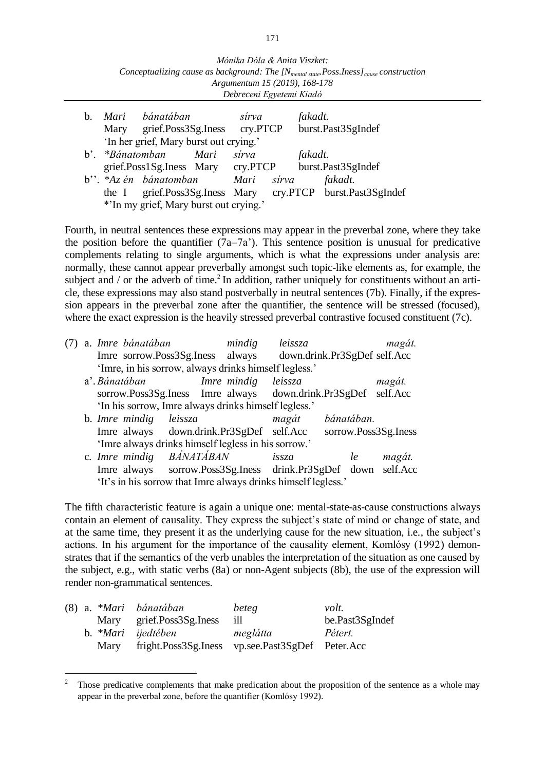| Mónika Dóla & Anita Viszket:                                                            |
|-----------------------------------------------------------------------------------------|
| Conceptualizing cause as background: The $[N_{mental state}.Poss]_{cause}$ construction |
| Argumentum 15 (2019), 168-178                                                           |
| Debreceni Egyetemi Kiadó                                                                |

| b.                                     | Mary            | Mari bánatában<br>grief.Poss3Sg.Iness cry.PTCP |      | sírva      |  | fakadt. | burst.Past3SgIndef                                         |
|----------------------------------------|-----------------|------------------------------------------------|------|------------|--|---------|------------------------------------------------------------|
|                                        |                 | 'In her grief, Mary burst out crying.'         |      |            |  |         |                                                            |
|                                        | b'. *Bánatomban |                                                | Mari | sírva      |  | fakadt. |                                                            |
|                                        |                 | grief.Poss1Sg.Iness Mary cry.PTCP              |      |            |  |         | burst.Past3SgIndef                                         |
|                                        |                 | b''. $*Az$ én bánatomban                       |      | Mari sírva |  |         | fakadt.                                                    |
|                                        |                 |                                                |      |            |  |         | the I grief.Poss3Sg.Iness Mary cry.PTCP burst.Past3SgIndef |
| *'In my grief, Mary burst out crying.' |                 |                                                |      |            |  |         |                                                            |

Fourth, in neutral sentences these expressions may appear in the preverbal zone, where they take the position before the quantifier  $(7a-7a)$ . This sentence position is unusual for predicative complements relating to single arguments, which is what the expressions under analysis are: normally, these cannot appear preverbally amongst such topic-like elements as, for example, the subject and / or the adverb of time.<sup>2</sup> In addition, rather uniquely for constituents without an article, these expressions may also stand postverbally in neutral sentences (7b). Finally, if the expression appears in the preverbal zone after the quantifier, the sentence will be stressed (focused), where the exact expression is the heavily stressed preverbal contrastive focused constituent (7c).

| (7) a. Imre bánatában                                         | leissza<br>mindig   | magát.                       |
|---------------------------------------------------------------|---------------------|------------------------------|
| Imre sorrow.Poss3Sg.Iness always                              |                     | down.drink.Pr3SgDef self.Acc |
| 'Imre, in his sorrow, always drinks himself legless.'         |                     |                              |
| a'. Bánatában                                                 | Imre mindig leissza | magát.                       |
| sorrow.Poss3Sg.Iness Imre always down.drink.Pr3SgDef self.Acc |                     |                              |
| 'In his sorrow, Imre always drinks himself legless.'          |                     |                              |
| b. Imre mindig<br>leissza                                     | magát               | bánatában.                   |
| Imre always down.drink.Pr3SgDef self.Acc                      |                     | sorrow.Poss3Sg.Iness         |
| 'Imre always drinks himself legless in his sorrow.'           |                     |                              |
| <i>BÁNATÁBAN</i><br>c. Imre mindig                            | issza               | magát.<br>le                 |
| Imre always sorrow.Poss3Sg.Iness drink.Pr3SgDef down self.Acc |                     |                              |
| 'It's in his sorrow that Imre always drinks himself legless.' |                     |                              |

The fifth characteristic feature is again a unique one: mental-state-as-cause constructions always contain an element of causality. They express the subject's state of mind or change of state, and at the same time, they present it as the underlying cause for the new situation, i.e., the subject's actions. In his argument for the importance of the causality element, Komlósy (1992) demonstrates that if the semantics of the verb unables the interpretation of the situation as one caused by the subject, e.g., with static verbs (8a) or non-Agent subjects (8b), the use of the expression will render non-grammatical sentences.

|  | (8) a. *Mari bánatában                                | beteg    | volt.           |
|--|-------------------------------------------------------|----------|-----------------|
|  | Mary grief.Poss3Sg.Iness                              | $-111$   | be.Past3SgIndef |
|  | b. *Mari ijedtében                                    | meglátta | Pétert.         |
|  | Mary fright.Poss3Sg.Iness vp.see.Past3SgDef Peter.Acc |          |                 |

<sup>2</sup> Those predicative complements that make predication about the proposition of the sentence as a whole may appear in the preverbal zone, before the quantifier (Komlósy 1992).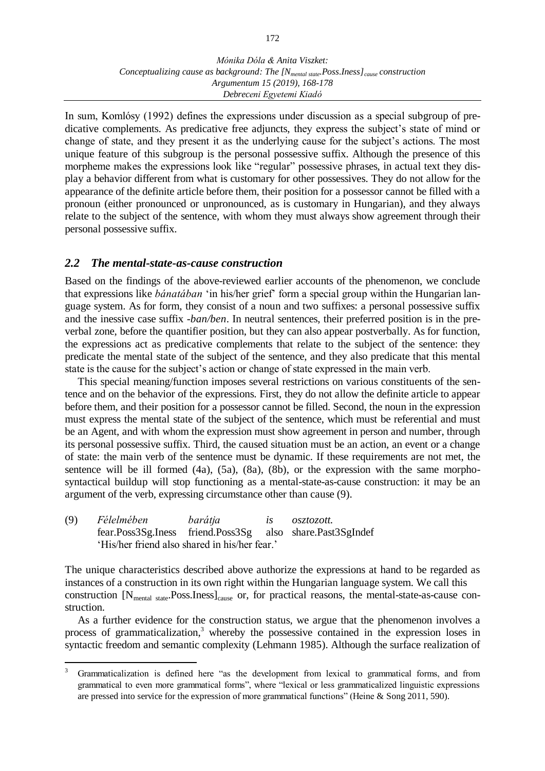In sum, Komlósy (1992) defines the expressions under discussion as a special subgroup of predicative complements. As predicative free adjuncts, they express the subject's state of mind or change of state, and they present it as the underlying cause for the subject's actions. The most unique feature of this subgroup is the personal possessive suffix. Although the presence of this morpheme makes the expressions look like "regular" possessive phrases, in actual text they display a behavior different from what is customary for other possessives. They do not allow for the appearance of the definite article before them, their position for a possessor cannot be filled with a pronoun (either pronounced or unpronounced, as is customary in Hungarian), and they always relate to the subject of the sentence, with whom they must always show agreement through their personal possessive suffix.

## *2.2 The mental-state-as-cause construction*

Based on the findings of the above-reviewed earlier accounts of the phenomenon, we conclude that expressions like *bánatában* 'in his/her grief' form a special group within the Hungarian language system. As for form, they consist of a noun and two suffixes: a personal possessive suffix and the inessive case suffix *-ban/ben*. In neutral sentences, their preferred position is in the preverbal zone, before the quantifier position, but they can also appear postverbally. As for function, the expressions act as predicative complements that relate to the subject of the sentence: they predicate the mental state of the subject of the sentence, and they also predicate that this mental state is the cause for the subject's action or change of state expressed in the main verb.

This special meaning/function imposes several restrictions on various constituents of the sentence and on the behavior of the expressions. First, they do not allow the definite article to appear before them, and their position for a possessor cannot be filled. Second, the noun in the expression must express the mental state of the subject of the sentence, which must be referential and must be an Agent, and with whom the expression must show agreement in person and number, through its personal possessive suffix. Third, the caused situation must be an action, an event or a change of state: the main verb of the sentence must be dynamic. If these requirements are not met, the sentence will be ill formed  $(4a)$ ,  $(5a)$ ,  $(8a)$ ,  $(8b)$ , or the expression with the same morphosyntactical buildup will stop functioning as a mental-state-as-cause construction: it may be an argument of the verb, expressing circumstance other than cause (9).

(9) *Félelmében barátja is osztozott.* fear.Poss3Sg.Iness friend.Poss3Sg also share.Past3SgIndef 'His/her friend also shared in his/her fear.'

 $\overline{a}$ 

The unique characteristics described above authorize the expressions at hand to be regarded as instances of a construction in its own right within the Hungarian language system. We call this construction [N<sub>mental state</sub>.Poss.Iness]<sub>cause</sub> or, for practical reasons, the mental-state-as-cause construction.

As a further evidence for the construction status, we argue that the phenomenon involves a process of grammaticalization, <sup>3</sup> whereby the possessive contained in the expression loses in syntactic freedom and semantic complexity (Lehmann 1985). Although the surface realization of

<sup>3</sup> Grammaticalization is defined here "as the development from lexical to grammatical forms, and from grammatical to even more grammatical forms", where "lexical or less grammaticalized linguistic expressions are pressed into service for the expression of more grammatical functions" (Heine & Song 2011, 590).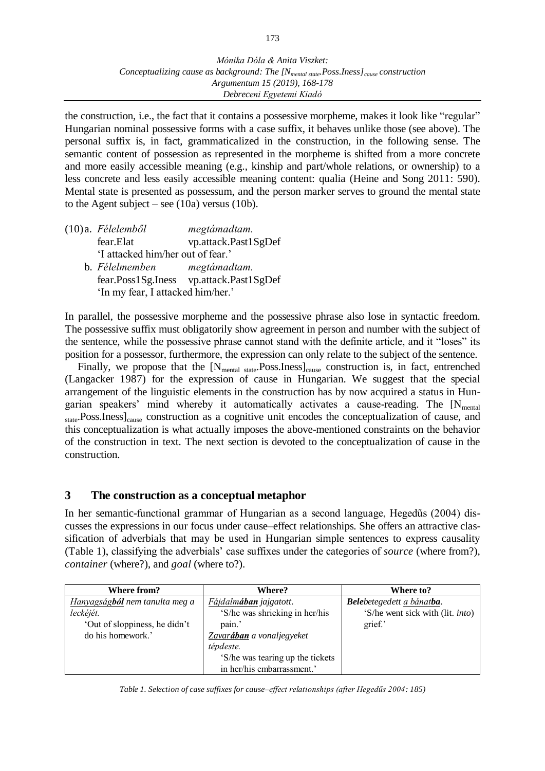the construction, i.e., the fact that it contains a possessive morpheme, makes it look like "regular" Hungarian nominal possessive forms with a case suffix, it behaves unlike those (see above). The personal suffix is, in fact, grammaticalized in the construction, in the following sense. The semantic content of possession as represented in the morpheme is shifted from a more concrete and more easily accessible meaning (e.g., kinship and part/whole relations, or ownership) to a less concrete and less easily accessible meaning content: qualia (Heine and Song 2011: 590). Mental state is presented as possessum, and the person marker serves to ground the mental state to the Agent subject – see  $(10a)$  versus  $(10b)$ .

|                                   | $(10)a.$ Félelemből               | megtámadtam.                            |  |  |  |
|-----------------------------------|-----------------------------------|-----------------------------------------|--|--|--|
|                                   | fear.Elat                         | vp.attack.Past1SgDef                    |  |  |  |
|                                   | 'I attacked him/her out of fear.' |                                         |  |  |  |
|                                   | b. Félelmemben                    | megtámadtam.                            |  |  |  |
|                                   |                                   | fear.Poss1Sg.Iness vp.attack.Past1SgDef |  |  |  |
| 'In my fear, I attacked him/her.' |                                   |                                         |  |  |  |

In parallel, the possessive morpheme and the possessive phrase also lose in syntactic freedom. The possessive suffix must obligatorily show agreement in person and number with the subject of the sentence, while the possessive phrase cannot stand with the definite article, and it "loses" its position for a possessor, furthermore, the expression can only relate to the subject of the sentence.

Finally, we propose that the  $[N_{\text{mental state}}$ . Poss. Iness $]_{\text{cause}}$  construction is, in fact, entrenched (Langacker 1987) for the expression of cause in Hungarian. We suggest that the special arrangement of the linguistic elements in the construction has by now acquired a status in Hungarian speakers' mind whereby it automatically activates a cause-reading. The  $[N_{\text{mental}}]$ state.Poss.Iness]<sub>cause</sub> construction as a cognitive unit encodes the conceptualization of cause, and this conceptualization is what actually imposes the above-mentioned constraints on the behavior of the construction in text. The next section is devoted to the conceptualization of cause in the construction.

# **3 The construction as a conceptual metaphor**

In her semantic-functional grammar of Hungarian as a second language, Hegedűs (2004) discusses the expressions in our focus under cause–effect relationships. She offers an attractive classification of adverbials that may be used in Hungarian simple sentences to express causality (Table 1), classifying the adverbials' case suffixes under the categories of *source* (where from?), *container* (where?), and *goal* (where to?).

| Where from?                    | <b>Where?</b>                     | Where to?                                |
|--------------------------------|-----------------------------------|------------------------------------------|
| Hanyagságból nem tanulta meg a | Fájdalmában jajgatott.            | Belebetegedett a bánatba.                |
| leckéjét.                      | 'S/he was shrieking in her/his    | 'S/he went sick with (lit. <i>into</i> ) |
| 'Out of sloppiness, he didn't  | pain.'                            | grief.'                                  |
| do his homework.'              | Zavar <b>ában</b> a vonaljegyeket |                                          |
|                                | tépdeste.                         |                                          |
|                                | 'S/he was tearing up the tickets  |                                          |
|                                | in her/his embarrassment.'        |                                          |

*Table 1. Selection of case suffixes for cause–effect relationships (after Hegedűs 2004: 185)*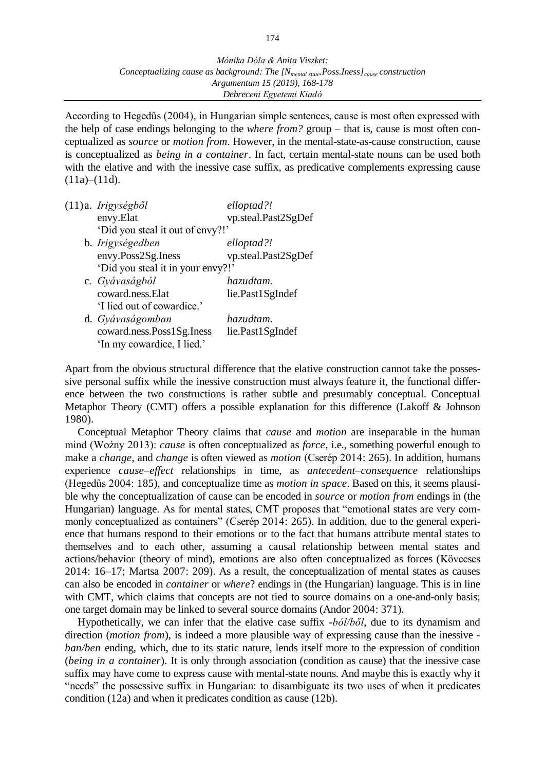According to Hegedűs (2004), in Hungarian simple sentences, cause is most often expressed with the help of case endings belonging to the *where from?* group – that is, cause is most often conceptualized as *source* or *motion from*. However, in the mental-state-as-cause construction, cause is conceptualized as *being in a container*. In fact, certain mental-state nouns can be used both with the elative and with the inessive case suffix, as predicative complements expressing cause  $(11a)–(11d)$ .

| (11)a. Irigységből                | elloptad?!          |
|-----------------------------------|---------------------|
| envy.Elat                         | vp.steal.Past2SgDef |
| 'Did you steal it out of envy?!'  |                     |
| b. Irigységedben                  | elloptad?!          |
| envy.Poss2Sg.Iness                | vp.steal.Past2SgDef |
| 'Did you steal it in your envy?!' |                     |
| c. Gyávaságból                    | hazudtam.           |
| coward.ness.Elat                  | lie.Past1SgIndef    |
| 'I lied out of cowardice.'        |                     |
| d. Gyávaságomban                  | hazudtam.           |
| coward.ness.Poss1Sg.Iness         | lie.Past1SgIndef    |
| 'In my cowardice, I lied.'        |                     |

Apart from the obvious structural difference that the elative construction cannot take the possessive personal suffix while the inessive construction must always feature it, the functional difference between the two constructions is rather subtle and presumably conceptual. Conceptual Metaphor Theory (CMT) offers a possible explanation for this difference (Lakoff & Johnson 1980).

Conceptual Metaphor Theory claims that *cause* and *motion* are inseparable in the human mind (Woźny 2013): *cause* is often conceptualized as *force*, i.e., something powerful enough to make a *change*, and *change* is often viewed as *motion* (Cserép 2014: 265). In addition, humans experience *cause–effect* relationships in time, as *antecedent–consequence* relationships (Hegedűs 2004: 185), and conceptualize time as *motion in space*. Based on this, it seems plausible why the conceptualization of cause can be encoded in *source* or *motion from* endings in (the Hungarian) language. As for mental states, CMT proposes that "emotional states are very commonly conceptualized as containers" (Cserép 2014: 265). In addition, due to the general experience that humans respond to their emotions or to the fact that humans attribute mental states to themselves and to each other, assuming a causal relationship between mental states and actions/behavior (theory of mind), emotions are also often conceptualized as forces (Kövecses 2014: 16–17; Martsa 2007: 209). As a result, the conceptualization of mental states as causes can also be encoded in *container* or *where*? endings in (the Hungarian) language. This is in line with CMT, which claims that concepts are not tied to source domains on a one-and-only basis; one target domain may be linked to several source domains (Andor 2004: 371).

Hypothetically, we can infer that the elative case suffix *-ból/ből*, due to its dynamism and direction (*motion from*), is indeed a more plausible way of expressing cause than the inessive  *ban/ben* ending, which, due to its static nature, lends itself more to the expression of condition (*being in a container*). It is only through association (condition as cause) that the inessive case suffix may have come to express cause with mental-state nouns. And maybe this is exactly why it "needs" the possessive suffix in Hungarian: to disambiguate its two uses of when it predicates condition (12a) and when it predicates condition as cause (12b).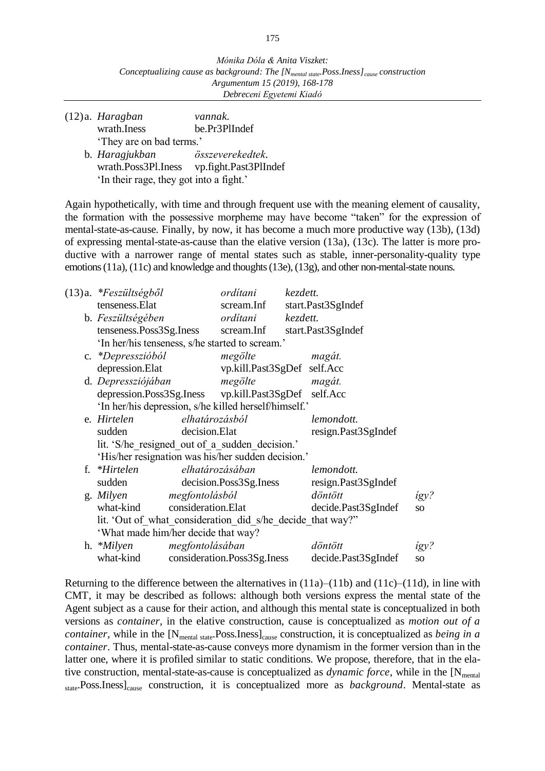- (12)a. *Haragban vannak.* wrath.Iness be.Pr3PlIndef 'They are on bad terms.'
	- b. *Haragjukban összeverekedtek.* wrath.Poss3Pl.Iness vp.fight.Past3PlIndef 'In their rage, they got into a fight.'

Again hypothetically, with time and through frequent use with the meaning element of causality, the formation with the possessive morpheme may have become "taken" for the expression of mental-state-as-cause. Finally, by now, it has become a much more productive way (13b), (13d) of expressing mental-state-as-cause than the elative version (13a), (13c). The latter is more productive with a narrower range of mental states such as stable, inner-personality-quality type emotions (11a), (11c) and knowledge and thoughts (13e), (13g), and other non-mental-state nouns.

| $(13)a.$ * $F$ eszültségből                                |                 | ordítani                    | kezdett. |                     |                 |
|------------------------------------------------------------|-----------------|-----------------------------|----------|---------------------|-----------------|
| tenseness. Elat                                            |                 | scream.Inf                  |          | start.Past3SgIndef  |                 |
| b. Feszültségében                                          |                 | orditani                    | kezdett. |                     |                 |
| tenseness.Poss3Sg.Iness scream.Inf                         |                 |                             |          | start.Past3SgIndef  |                 |
| 'In her/his tenseness, s/he started to scream.'            |                 |                             |          |                     |                 |
| c. *Depresszióból                                          |                 | megölte                     |          | magát.              |                 |
| depression. Elat                                           |                 | vp.kill.Past3SgDef self.Acc |          |                     |                 |
| d. Depressziójában                                         |                 | megölte                     |          | magát.              |                 |
| depression.Poss3Sg.Iness vp.kill.Past3SgDef self.Acc       |                 |                             |          |                     |                 |
| 'In her/his depression, s/he killed herself/himself.'      |                 |                             |          |                     |                 |
| e. Hirtelen                                                | elhatározásból  |                             |          | lemondott.          |                 |
| sudden                                                     | decision.Elat   |                             |          | resign.Past3SgIndef |                 |
| lit. 'S/he resigned out of a sudden decision.'             |                 |                             |          |                     |                 |
| 'His/her resignation was his/her sudden decision.'         |                 |                             |          |                     |                 |
| f. *Hirtelen                                               |                 | elhatározásában             |          | lemondott.          |                 |
| sudden                                                     |                 | decision.Poss3Sg.Iness      |          | resign.Past3SgIndef |                 |
| g. Milyen                                                  | megfontolásból  |                             |          | döntött             | igy?            |
| what-kind consideration.Elat                               |                 |                             |          | decide.Past3SgIndef | <b>SO</b>       |
| lit. 'Out of what consideration did s/he decide that way?" |                 |                             |          |                     |                 |
| 'What made him/her decide that way?                        |                 |                             |          |                     |                 |
| h. * <i>Milyen</i>                                         | megfontolásában |                             |          | döntött             | igy?            |
| what-kind                                                  |                 | consideration.Poss3Sg.Iness |          | decide.Past3SgIndef | SO <sub>1</sub> |
|                                                            |                 |                             |          |                     |                 |

Returning to the difference between the alternatives in  $(11a)–(11b)$  and  $(11c)–(11d)$ , in line with CMT, it may be described as follows: although both versions express the mental state of the Agent subject as a cause for their action, and although this mental state is conceptualized in both versions as *container*, in the elative construction, cause is conceptualized as *motion out of a container*, while in the [N<sub>mental state</sub>.Poss.Iness]<sub>cause</sub> construction, it is conceptualized as *being in a container*. Thus, mental-state-as-cause conveys more dynamism in the former version than in the latter one, where it is profiled similar to static conditions. We propose, therefore, that in the elative construction, mental-state-as-cause is conceptualized as  $dynamic force$ , while in the  $[N<sub>mental</sub>]$ state.Poss.Iness]<sub>cause</sub> construction, it is conceptualized more as *background*. Mental-state as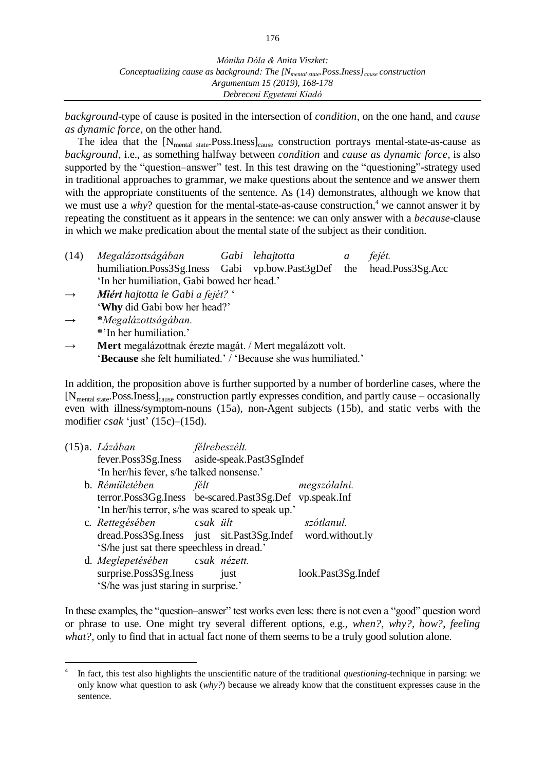*background*-type of cause is posited in the intersection of *condition*, on the one hand, and *cause as dynamic force*, on the other hand.

The idea that the  $[N_{\text{mental state}}$ . Poss. Iness $]_{\text{cause}}$  construction portrays mental-state-as-cause as *background*, i.e., as something halfway between *condition* and *cause as dynamic force*, is also supported by the "question–answer" test. In this test drawing on the "questioning"-strategy used in traditional approaches to grammar, we make questions about the sentence and we answer them with the appropriate constituents of the sentence. As  $(14)$  demonstrates, although we know that we must use a *why*? question for the mental-state-as-cause construction,<sup>4</sup> we cannot answer it by repeating the constituent as it appears in the sentence: we can only answer with a *because*-clause in which we make predication about the mental state of the subject as their condition.

- (14) *Megalázottságában Gabi lehajtotta a fejét.* humiliation.Poss3Sg.Iness Gabi vp.bow.Past3gDef the head.Poss3Sg.Acc 'In her humiliation, Gabi bowed her head.'
- → *Miért hajtotta le Gabi a fejét?* ' '**Why** did Gabi bow her head?'
- → **\****Megalázottságában.* **\***'In her humiliation.'

 $\overline{a}$ 

→ **Mert** megalázottnak érezte magát. / Mert megalázott volt. '**Because** she felt humiliated.' / 'Because she was humiliated.'

In addition, the proposition above is further supported by a number of borderline cases, where the  $[N_{\text{mental state}}$ . Poss. Iness  $]_{\text{cause}}$  construction partly expresses condition, and partly cause – occasionally even with illness/symptom-nouns (15a), non-Agent subjects (15b), and static verbs with the modifier *csak* 'just' (15c)–(15d).

|                                                   | félt                                                       |      | megszólalni.                                                                                                                                                                                                                                                                      |
|---------------------------------------------------|------------------------------------------------------------|------|-----------------------------------------------------------------------------------------------------------------------------------------------------------------------------------------------------------------------------------------------------------------------------------|
|                                                   |                                                            |      |                                                                                                                                                                                                                                                                                   |
| 'In her/his terror, s/he was scared to speak up.' |                                                            |      |                                                                                                                                                                                                                                                                                   |
|                                                   |                                                            |      | szótlanul.                                                                                                                                                                                                                                                                        |
|                                                   |                                                            |      |                                                                                                                                                                                                                                                                                   |
| 'S/he just sat there speechless in dread.'        |                                                            |      |                                                                                                                                                                                                                                                                                   |
|                                                   |                                                            |      |                                                                                                                                                                                                                                                                                   |
| surprise.Poss3Sg.Iness                            |                                                            | just | look.Past3Sg.Indef                                                                                                                                                                                                                                                                |
| 'S/he was just staring in surprise.'              |                                                            |      |                                                                                                                                                                                                                                                                                   |
|                                                   | (15)a. <i>Lázában</i><br>b. Rémületében<br>c. Rettegésében |      | félrebeszélt.<br>fever.Poss3Sg.Iness aside-speak.Past3SgIndef<br>'In her/his fever, s/he talked nonsense.'<br>terror.Poss3Gg.Iness be-scared.Past3Sg.Def vp.speak.Inf<br>csak ült<br>dread.Poss3Sg.Iness just sit.Past3Sg.Indef word.without.ly<br>d. Meglepetésében csak nézett. |

In these examples, the "question–answer" test works even less: there is not even a "good" question word or phrase to use. One might try several different options, e.g., *when?*, *why?, how?*, *feeling*  what?, only to find that in actual fact none of them seems to be a truly good solution alone.

<sup>4</sup> In fact, this test also highlights the unscientific nature of the traditional *questioning*-technique in parsing: we only know what question to ask (*why?*) because we already know that the constituent expresses cause in the sentence.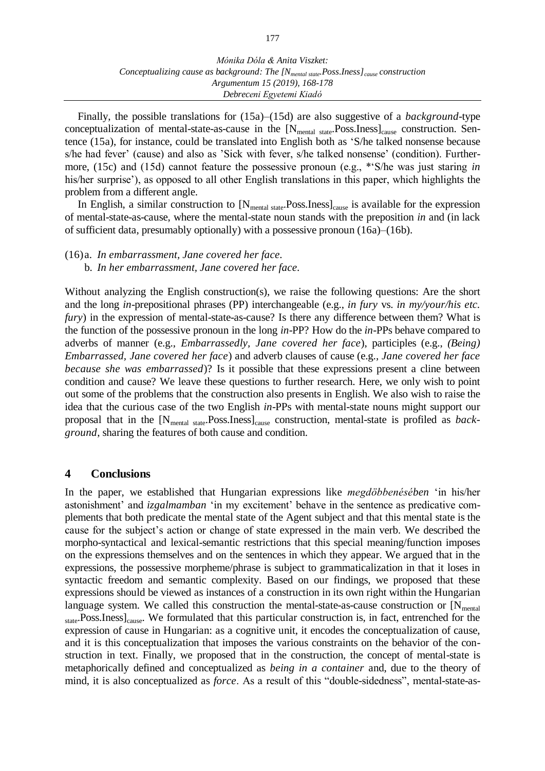*Mónika Dóla & Anita Viszket: Conceptualizing cause as background: The [Nmental state.Poss.Iness]cause construction Argumentum 15 (2019), 168-178 Debreceni Egyetemi Kiadó*

Finally, the possible translations for (15a)–(15d) are also suggestive of a *background*-type conceptualization of mental-state-as-cause in the  $[N_{\text{mental state}}$ . Poss.Iness]<sub>cause</sub> construction. Sentence (15a), for instance, could be translated into English both as 'S/he talked nonsense because s/he had fever' (cause) and also as 'Sick with fever, s/he talked nonsense' (condition). Furthermore, (15c) and (15d) cannot feature the possessive pronoun (e.g., \*'S/he was just staring *in* his/her surprise'), as opposed to all other English translations in this paper, which highlights the problem from a different angle.

In English, a similar construction to  $[N_{\text{mental state}}$ . Poss. Iness $]_{\text{cause}}$  is available for the expression of mental-state-as-cause, where the mental-state noun stands with the preposition *in* and (in lack of sufficient data, presumably optionally) with a possessive pronoun (16a)–(16b).

(16)a. *In embarrassment, Jane covered her face.*

b. *In her embarrassment, Jane covered her face.*

Without analyzing the English construction(s), we raise the following questions: Are the short and the long *in*-prepositional phrases (PP) interchangeable (e.g., *in fury* vs. *in my/your/his etc. fury*) in the expression of mental-state-as-cause? Is there any difference between them? What is the function of the possessive pronoun in the long *in*-PP? How do the *in*-PPs behave compared to adverbs of manner (e.g., *Embarrassedly, Jane covered her face*), participles (e.g., *(Being) Embarrassed, Jane covered her face*) and adverb clauses of cause (e.g., *Jane covered her face because she was embarrassed*)? Is it possible that these expressions present a cline between condition and cause? We leave these questions to further research. Here, we only wish to point out some of the problems that the construction also presents in English. We also wish to raise the idea that the curious case of the two English *in*-PPs with mental-state nouns might support our proposal that in the [N<sub>mental state</sub>.Poss.Iness]<sub>cause</sub> construction, mental-state is profiled as *background*, sharing the features of both cause and condition.

#### **4 Conclusions**

In the paper, we established that Hungarian expressions like *megdöbbenésében* 'in his/her astonishment' and *izgalmamban* 'in my excitement' behave in the sentence as predicative complements that both predicate the mental state of the Agent subject and that this mental state is the cause for the subject's action or change of state expressed in the main verb. We described the morpho-syntactical and lexical-semantic restrictions that this special meaning/function imposes on the expressions themselves and on the sentences in which they appear. We argued that in the expressions, the possessive morpheme/phrase is subject to grammaticalization in that it loses in syntactic freedom and semantic complexity. Based on our findings, we proposed that these expressions should be viewed as instances of a construction in its own right within the Hungarian language system. We called this construction the mental-state-as-cause construction or  $[N_{\text{mental}}]$ state.Poss.Iness]<sub>cause</sub>. We formulated that this particular construction is, in fact, entrenched for the expression of cause in Hungarian: as a cognitive unit, it encodes the conceptualization of cause, and it is this conceptualization that imposes the various constraints on the behavior of the construction in text. Finally, we proposed that in the construction, the concept of mental-state is metaphorically defined and conceptualized as *being in a container* and, due to the theory of mind, it is also conceptualized as *force*. As a result of this "double-sidedness", mental-state-as